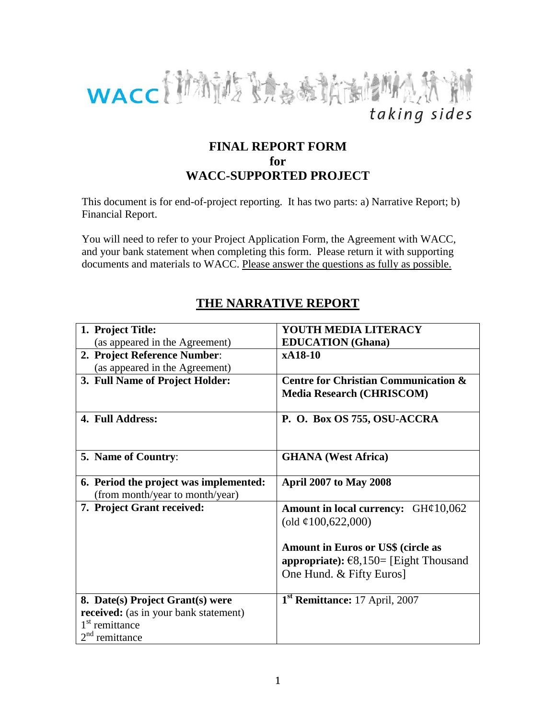

## **FINAL REPORT FORM for WACC-SUPPORTED PROJECT**

This document is for end-of-project reporting. It has two parts: a) Narrative Report; b) Financial Report.

You will need to refer to your Project Application Form, the Agreement with WACC, and your bank statement when completing this form. Please return it with supporting documents and materials to WACC. Please answer the questions as fully as possible.

# **THE NARRATIVE REPORT**

| 1. Project Title:                            | YOUTH MEDIA LITERACY                            |  |  |
|----------------------------------------------|-------------------------------------------------|--|--|
| (as appeared in the Agreement)               | <b>EDUCATION</b> (Ghana)                        |  |  |
| 2. Project Reference Number:                 | xA18-10                                         |  |  |
| (as appeared in the Agreement)               |                                                 |  |  |
| 3. Full Name of Project Holder:              | <b>Centre for Christian Communication &amp;</b> |  |  |
|                                              | <b>Media Research (CHRISCOM)</b>                |  |  |
|                                              |                                                 |  |  |
| 4. Full Address:                             | P. O. Box OS 755, OSU-ACCRA                     |  |  |
|                                              |                                                 |  |  |
|                                              |                                                 |  |  |
| 5. Name of Country:                          | <b>GHANA</b> (West Africa)                      |  |  |
|                                              |                                                 |  |  |
| 6. Period the project was implemented:       | <b>April 2007 to May 2008</b>                   |  |  |
| (from month/year to month/year)              |                                                 |  |  |
| 7. Project Grant received:                   | Amount in local currency: $GH¢10,062$           |  |  |
|                                              | (old $\varphi$ 100,622,000)                     |  |  |
|                                              |                                                 |  |  |
|                                              | <b>Amount in Euros or US\$ (circle as</b>       |  |  |
|                                              | appropriate): $\epsilon$ 8,150= [Eight Thousand |  |  |
|                                              | One Hund. & Fifty Euros]                        |  |  |
|                                              |                                                 |  |  |
| 8. Date(s) Project Grant(s) were             | 1 <sup>st</sup> Remittance: 17 April, 2007      |  |  |
| <b>received:</b> (as in your bank statement) |                                                 |  |  |
| 1 <sup>st</sup> remittance                   |                                                 |  |  |
| $2nd$ remittance                             |                                                 |  |  |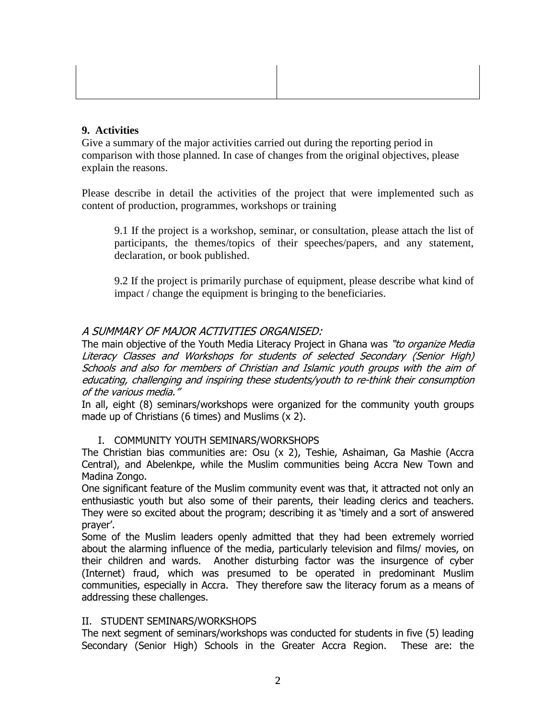## **9. Activities**

Give a summary of the major activities carried out during the reporting period in comparison with those planned. In case of changes from the original objectives, please explain the reasons.

Please describe in detail the activities of the project that were implemented such as content of production, programmes, workshops or training

9.1 If the project is a workshop, seminar, or consultation, please attach the list of participants, the themes/topics of their speeches/papers, and any statement, declaration, or book published.

9.2 If the project is primarily purchase of equipment, please describe what kind of impact / change the equipment is bringing to the beneficiaries.

## A SUMMARY OF MAJOR ACTIVITIES ORGANISED:

The main objective of the Youth Media Literacy Project in Ghana was "to organize Media Literacy Classes and Workshops for students of selected Secondary (Senior High) Schools and also for members of Christian and Islamic youth groups with the aim of educating, challenging and inspiring these students/youth to re-think their consumption of the various media."

In all, eight (8) seminars/workshops were organized for the community youth groups made up of Christians (6 times) and Muslims (x 2).

## I. COMMUNITY YOUTH SEMINARS/WORKSHOPS

The Christian bias communities are: Osu (x 2), Teshie, Ashaiman, Ga Mashie (Accra Central), and Abelenkpe, while the Muslim communities being Accra New Town and Madina Zongo.

One significant feature of the Muslim community event was that, it attracted not only an enthusiastic youth but also some of their parents, their leading clerics and teachers. They were so excited about the program; describing it as 'timely and a sort of answered prayer'.

Some of the Muslim leaders openly admitted that they had been extremely worried about the alarming influence of the media, particularly television and films/ movies, on their children and wards. Another disturbing factor was the insurgence of cyber (Internet) fraud, which was presumed to be operated in predominant Muslim communities, especially in Accra. They therefore saw the literacy forum as a means of addressing these challenges.

## II.STUDENT SEMINARS/WORKSHOPS

The next segment of seminars/workshops was conducted for students in five (5) leading Secondary (Senior High) Schools in the Greater Accra Region. These are: the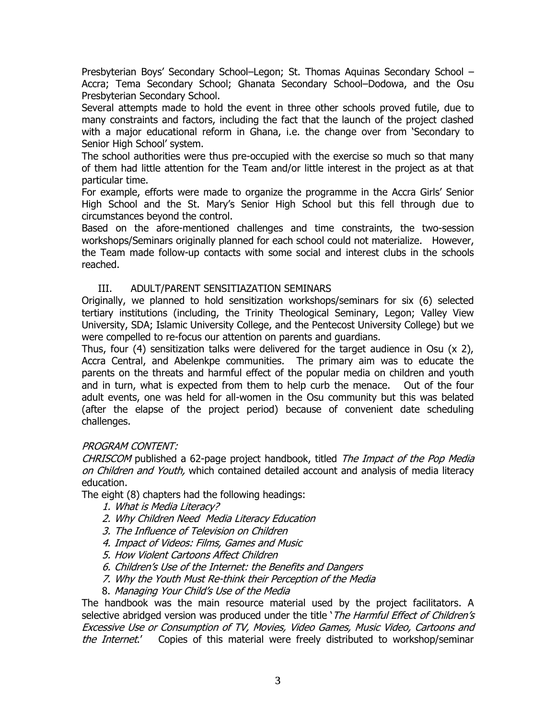Presbyterian Boys' Secondary School–Legon; St. Thomas Aquinas Secondary School – Accra; Tema Secondary School; Ghanata Secondary School–Dodowa, and the Osu Presbyterian Secondary School.

Several attempts made to hold the event in three other schools proved futile, due to many constraints and factors, including the fact that the launch of the project clashed with a major educational reform in Ghana, i.e. the change over from 'Secondary to Senior High School' system.

The school authorities were thus pre-occupied with the exercise so much so that many of them had little attention for the Team and/or little interest in the project as at that particular time.

For example, efforts were made to organize the programme in the Accra Girls' Senior High School and the St. Mary's Senior High School but this fell through due to circumstances beyond the control.

Based on the afore-mentioned challenges and time constraints, the two-session workshops/Seminars originally planned for each school could not materialize. However, the Team made follow-up contacts with some social and interest clubs in the schools reached.

#### III. ADULT/PARENT SENSITIAZATION SEMINARS

Originally, we planned to hold sensitization workshops/seminars for six (6) selected tertiary institutions (including, the Trinity Theological Seminary, Legon; Valley View University, SDA; Islamic University College, and the Pentecost University College) but we were compelled to re-focus our attention on parents and guardians.

Thus, four (4) sensitization talks were delivered for the target audience in Osu (x 2), Accra Central, and Abelenkpe communities. The primary aim was to educate the parents on the threats and harmful effect of the popular media on children and youth and in turn, what is expected from them to help curb the menace. Out of the four adult events, one was held for all-women in the Osu community but this was belated (after the elapse of the project period) because of convenient date scheduling challenges.

#### PROGRAM CONTENT:

CHRISCOM published a 62-page project handbook, titled The Impact of the Pop Media on Children and Youth, which contained detailed account and analysis of media literacy education.

The eight (8) chapters had the following headings:

- 1. What is Media Literacy?
- 2. Why Children Need Media Literacy Education
- 3. The Influence of Television on Children
- 4. Impact of Videos: Films, Games and Music
- 5. How Violent Cartoons Affect Children
- 6. Children's Use of the Internet: the Benefits and Dangers
- 7. Why the Youth Must Re-think their Perception of the Media
- 8. Managing Your Child's Use of the Media

The handbook was the main resource material used by the project facilitators. A selective abridged version was produced under the title 'The Harmful Effect of Children's Excessive Use or Consumption of TV, Movies, Video Games, Music Video, Cartoons and the Internet.' Copies of this material were freely distributed to workshop/seminar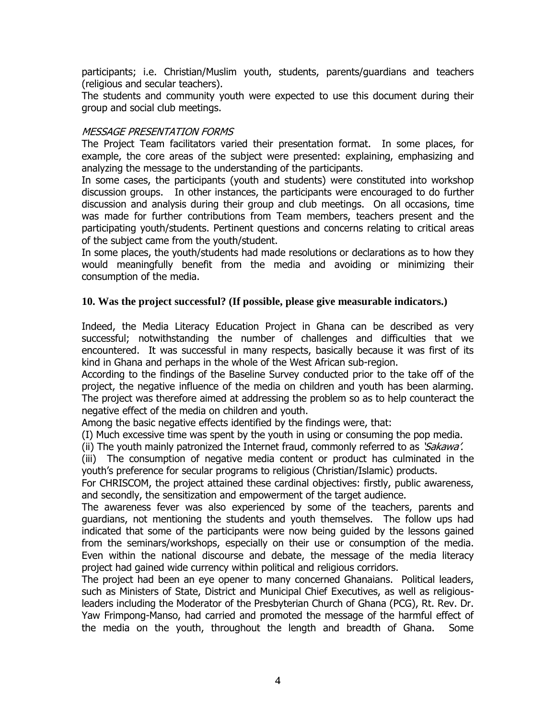participants; i.e. Christian/Muslim youth, students, parents/guardians and teachers (religious and secular teachers).

The students and community youth were expected to use this document during their group and social club meetings.

## MESSAGE PRESENTATION FORMS

The Project Team facilitators varied their presentation format. In some places, for example, the core areas of the subject were presented: explaining, emphasizing and analyzing the message to the understanding of the participants.

In some cases, the participants (youth and students) were constituted into workshop discussion groups. In other instances, the participants were encouraged to do further discussion and analysis during their group and club meetings. On all occasions, time was made for further contributions from Team members, teachers present and the participating youth/students. Pertinent questions and concerns relating to critical areas of the subject came from the youth/student.

In some places, the youth/students had made resolutions or declarations as to how they would meaningfully benefit from the media and avoiding or minimizing their consumption of the media.

#### **10. Was the project successful? (If possible, please give measurable indicators.)**

Indeed, the Media Literacy Education Project in Ghana can be described as very successful; notwithstanding the number of challenges and difficulties that we encountered. It was successful in many respects, basically because it was first of its kind in Ghana and perhaps in the whole of the West African sub-region.

According to the findings of the Baseline Survey conducted prior to the take off of the project, the negative influence of the media on children and youth has been alarming. The project was therefore aimed at addressing the problem so as to help counteract the negative effect of the media on children and youth.

Among the basic negative effects identified by the findings were, that:

(I) Much excessive time was spent by the youth in using or consuming the pop media.

(ii) The youth mainly patronized the Internet fraud, commonly referred to as 'Sakawa'.

(iii) The consumption of negative media content or product has culminated in the youth's preference for secular programs to religious (Christian/Islamic) products.

For CHRISCOM, the project attained these cardinal objectives: firstly, public awareness, and secondly, the sensitization and empowerment of the target audience.

The awareness fever was also experienced by some of the teachers, parents and guardians, not mentioning the students and youth themselves. The follow ups had indicated that some of the participants were now being guided by the lessons gained from the seminars/workshops, especially on their use or consumption of the media. Even within the national discourse and debate, the message of the media literacy project had gained wide currency within political and religious corridors.

The project had been an eye opener to many concerned Ghanaians. Political leaders, such as Ministers of State, District and Municipal Chief Executives, as well as religiousleaders including the Moderator of the Presbyterian Church of Ghana (PCG), Rt. Rev. Dr. Yaw Frimpong-Manso, had carried and promoted the message of the harmful effect of the media on the youth, throughout the length and breadth of Ghana. Some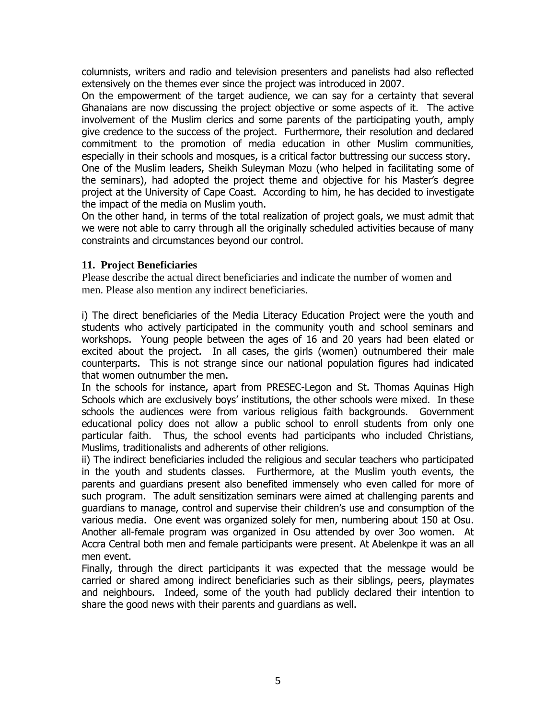columnists, writers and radio and television presenters and panelists had also reflected extensively on the themes ever since the project was introduced in 2007.

On the empowerment of the target audience, we can say for a certainty that several Ghanaians are now discussing the project objective or some aspects of it. The active involvement of the Muslim clerics and some parents of the participating youth, amply give credence to the success of the project. Furthermore, their resolution and declared commitment to the promotion of media education in other Muslim communities, especially in their schools and mosques, is a critical factor buttressing our success story. One of the Muslim leaders, Sheikh Suleyman Mozu (who helped in facilitating some of

the seminars), had adopted the project theme and objective for his Master's degree project at the University of Cape Coast. According to him, he has decided to investigate the impact of the media on Muslim youth.

On the other hand, in terms of the total realization of project goals, we must admit that we were not able to carry through all the originally scheduled activities because of many constraints and circumstances beyond our control.

## **11. Project Beneficiaries**

Please describe the actual direct beneficiaries and indicate the number of women and men. Please also mention any indirect beneficiaries.

i) The direct beneficiaries of the Media Literacy Education Project were the youth and students who actively participated in the community youth and school seminars and workshops. Young people between the ages of 16 and 20 years had been elated or excited about the project. In all cases, the girls (women) outnumbered their male counterparts. This is not strange since our national population figures had indicated that women outnumber the men.

In the schools for instance, apart from PRESEC-Legon and St. Thomas Aquinas High Schools which are exclusively boys' institutions, the other schools were mixed. In these schools the audiences were from various religious faith backgrounds. Government educational policy does not allow a public school to enroll students from only one particular faith. Thus, the school events had participants who included Christians, Muslims, traditionalists and adherents of other religions.

ii) The indirect beneficiaries included the religious and secular teachers who participated in the youth and students classes. Furthermore, at the Muslim youth events, the parents and guardians present also benefited immensely who even called for more of such program. The adult sensitization seminars were aimed at challenging parents and guardians to manage, control and supervise their children's use and consumption of the various media. One event was organized solely for men, numbering about 150 at Osu. Another all-female program was organized in Osu attended by over 3oo women. At Accra Central both men and female participants were present. At Abelenkpe it was an all men event.

Finally, through the direct participants it was expected that the message would be carried or shared among indirect beneficiaries such as their siblings, peers, playmates and neighbours. Indeed, some of the youth had publicly declared their intention to share the good news with their parents and guardians as well.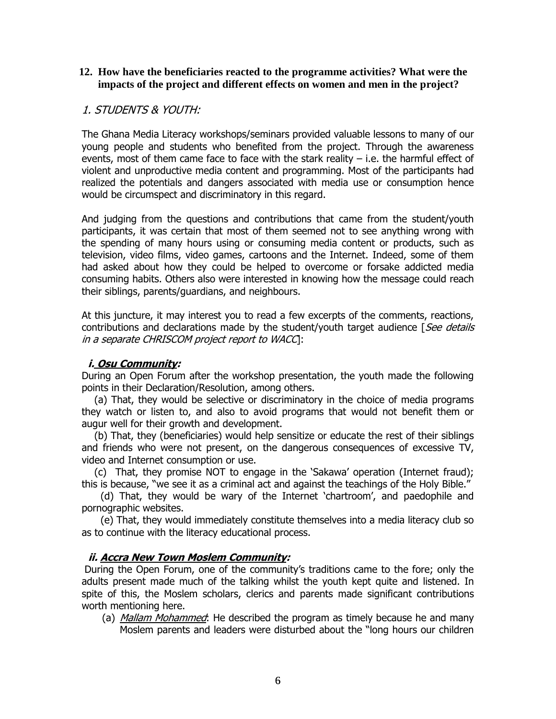#### **12. How have the beneficiaries reacted to the programme activities? What were the impacts of the project and different effects on women and men in the project?**

## 1. STUDENTS & YOUTH:

The Ghana Media Literacy workshops/seminars provided valuable lessons to many of our young people and students who benefited from the project. Through the awareness events, most of them came face to face with the stark reality  $-$  i.e. the harmful effect of violent and unproductive media content and programming. Most of the participants had realized the potentials and dangers associated with media use or consumption hence would be circumspect and discriminatory in this regard.

And judging from the questions and contributions that came from the student/youth participants, it was certain that most of them seemed not to see anything wrong with the spending of many hours using or consuming media content or products, such as television, video films, video games, cartoons and the Internet. Indeed, some of them had asked about how they could be helped to overcome or forsake addicted media consuming habits. Others also were interested in knowing how the message could reach their siblings, parents/guardians, and neighbours.

At this juncture, it may interest you to read a few excerpts of the comments, reactions, contributions and declarations made by the student/youth target audience  $[See details]$ in a separate CHRISCOM project report to WACC]:

## **i. Osu Community:**

During an Open Forum after the workshop presentation, the youth made the following points in their Declaration/Resolution, among others.

 (a) That, they would be selective or discriminatory in the choice of media programs they watch or listen to, and also to avoid programs that would not benefit them or augur well for their growth and development.

 (b) That, they (beneficiaries) would help sensitize or educate the rest of their siblings and friends who were not present, on the dangerous consequences of excessive TV, video and Internet consumption or use.

 (c) That, they promise NOT to engage in the 'Sakawa' operation (Internet fraud); this is because, "we see it as a criminal act and against the teachings of the Holy Bible."

 (d) That, they would be wary of the Internet 'chartroom', and paedophile and pornographic websites.

 (e) That, they would immediately constitute themselves into a media literacy club so as to continue with the literacy educational process.

## **ii. Accra New Town Moslem Community:**

During the Open Forum, one of the community's traditions came to the fore; only the adults present made much of the talking whilst the youth kept quite and listened. In spite of this, the Moslem scholars, clerics and parents made significant contributions worth mentioning here.

(a) *Mallam Mohammed*: He described the program as timely because he and many Moslem parents and leaders were disturbed about the "long hours our children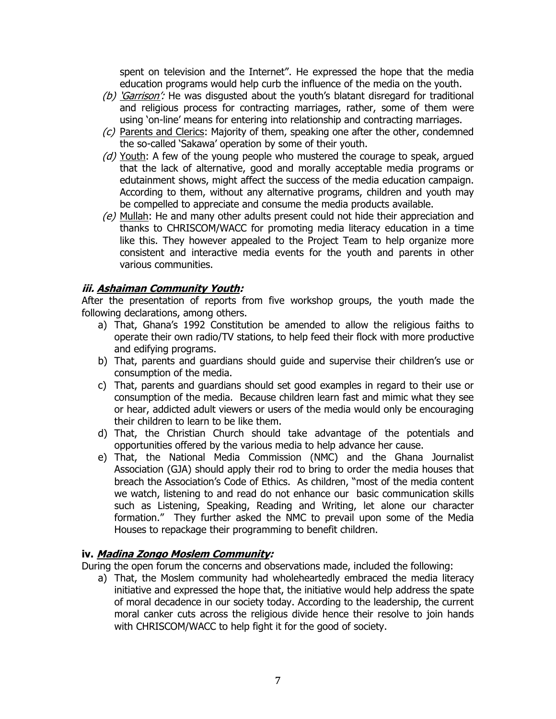spent on television and the Internet". He expressed the hope that the media education programs would help curb the influence of the media on the youth.

- (b) 'Garrison': He was disgusted about the youth's blatant disregard for traditional and religious process for contracting marriages, rather, some of them were using 'on-line' means for entering into relationship and contracting marriages.
- $(c)$  Parents and Clerics: Majority of them, speaking one after the other, condemned the so-called 'Sakawa' operation by some of their youth.
- $(d)$  Youth: A few of the young people who mustered the courage to speak, argued that the lack of alternative, good and morally acceptable media programs or edutainment shows, might affect the success of the media education campaign. According to them, without any alternative programs, children and youth may be compelled to appreciate and consume the media products available.
- $(e)$  Mullah: He and many other adults present could not hide their appreciation and thanks to CHRISCOM/WACC for promoting media literacy education in a time like this. They however appealed to the Project Team to help organize more consistent and interactive media events for the youth and parents in other various communities.

## **iii. Ashaiman Community Youth:**

After the presentation of reports from five workshop groups, the youth made the following declarations, among others.

- a) That, Ghana's 1992 Constitution be amended to allow the religious faiths to operate their own radio/TV stations, to help feed their flock with more productive and edifying programs.
- b) That, parents and guardians should guide and supervise their children's use or consumption of the media.
- c) That, parents and guardians should set good examples in regard to their use or consumption of the media. Because children learn fast and mimic what they see or hear, addicted adult viewers or users of the media would only be encouraging their children to learn to be like them.
- d) That, the Christian Church should take advantage of the potentials and opportunities offered by the various media to help advance her cause.
- e) That, the National Media Commission (NMC) and the Ghana Journalist Association (GJA) should apply their rod to bring to order the media houses that breach the Association's Code of Ethics. As children, "most of the media content we watch, listening to and read do not enhance our basic communication skills such as Listening, Speaking, Reading and Writing, let alone our character formation." They further asked the NMC to prevail upon some of the Media Houses to repackage their programming to benefit children.

#### **iv. Madina Zongo Moslem Community:**

During the open forum the concerns and observations made, included the following:

a) That, the Moslem community had wholeheartedly embraced the media literacy initiative and expressed the hope that, the initiative would help address the spate of moral decadence in our society today. According to the leadership, the current moral canker cuts across the religious divide hence their resolve to join hands with CHRISCOM/WACC to help fight it for the good of society.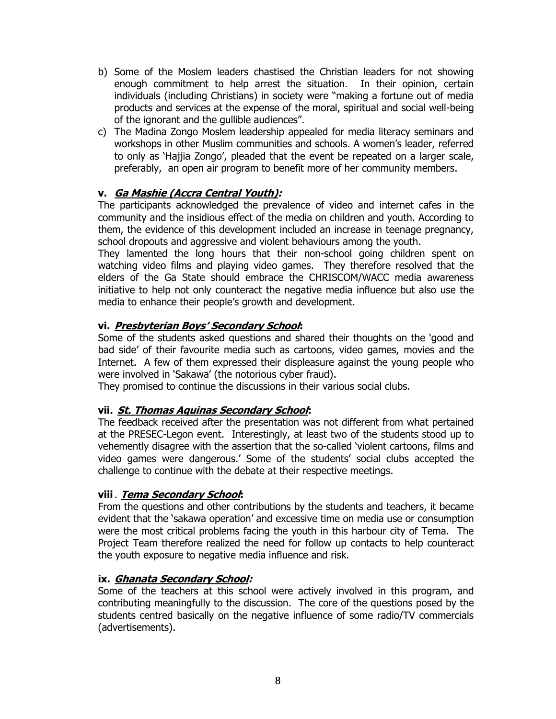- b) Some of the Moslem leaders chastised the Christian leaders for not showing enough commitment to help arrest the situation. In their opinion, certain individuals (including Christians) in society were "making a fortune out of media products and services at the expense of the moral, spiritual and social well-being of the ignorant and the gullible audiences".
- c) The Madina Zongo Moslem leadership appealed for media literacy seminars and workshops in other Muslim communities and schools. A women's leader, referred to only as 'Hajjia Zongo', pleaded that the event be repeated on a larger scale, preferably, an open air program to benefit more of her community members.

## **v. Ga Mashie (Accra Central Youth):**

The participants acknowledged the prevalence of video and internet cafes in the community and the insidious effect of the media on children and youth. According to them, the evidence of this development included an increase in teenage pregnancy, school dropouts and aggressive and violent behaviours among the youth.

They lamented the long hours that their non-school going children spent on watching video films and playing video games. They therefore resolved that the elders of the Ga State should embrace the CHRISCOM/WACC media awareness initiative to help not only counteract the negative media influence but also use the media to enhance their people's growth and development.

## **vi. Presbyterian Boys' Secondary School:**

Some of the students asked questions and shared their thoughts on the 'good and bad side' of their favourite media such as cartoons, video games, movies and the Internet. A few of them expressed their displeasure against the young people who were involved in 'Sakawa' (the notorious cyber fraud).

They promised to continue the discussions in their various social clubs.

## **vii. St. Thomas Aquinas Secondary School:**

The feedback received after the presentation was not different from what pertained at the PRESEC-Legon event. Interestingly, at least two of the students stood up to vehemently disagree with the assertion that the so-called 'violent cartoons, films and video games were dangerous.' Some of the students' social clubs accepted the challenge to continue with the debate at their respective meetings.

## **viii**. **Tema Secondary School:**

From the questions and other contributions by the students and teachers, it became evident that the 'sakawa operation' and excessive time on media use or consumption were the most critical problems facing the youth in this harbour city of Tema. The Project Team therefore realized the need for follow up contacts to help counteract the youth exposure to negative media influence and risk.

## **ix. Ghanata Secondary School:**

Some of the teachers at this school were actively involved in this program, and contributing meaningfully to the discussion. The core of the questions posed by the students centred basically on the negative influence of some radio/TV commercials (advertisements).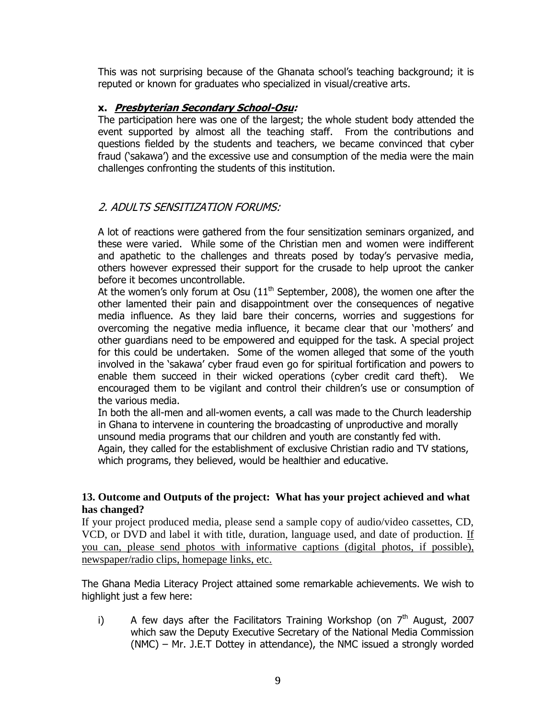This was not surprising because of the Ghanata school's teaching background; it is reputed or known for graduates who specialized in visual/creative arts.

#### **x. Presbyterian Secondary School-Osu:**

The participation here was one of the largest; the whole student body attended the event supported by almost all the teaching staff. From the contributions and questions fielded by the students and teachers, we became convinced that cyber fraud ('sakawa') and the excessive use and consumption of the media were the main challenges confronting the students of this institution.

## 2. ADULTS SENSITIZATION FORUMS:

A lot of reactions were gathered from the four sensitization seminars organized, and these were varied. While some of the Christian men and women were indifferent and apathetic to the challenges and threats posed by today's pervasive media, others however expressed their support for the crusade to help uproot the canker before it becomes uncontrollable.

At the women's only forum at Osu  $(11<sup>th</sup>$  September, 2008), the women one after the other lamented their pain and disappointment over the consequences of negative media influence. As they laid bare their concerns, worries and suggestions for overcoming the negative media influence, it became clear that our 'mothers' and other guardians need to be empowered and equipped for the task. A special project for this could be undertaken. Some of the women alleged that some of the youth involved in the 'sakawa' cyber fraud even go for spiritual fortification and powers to enable them succeed in their wicked operations (cyber credit card theft). We encouraged them to be vigilant and control their children's use or consumption of the various media.

In both the all-men and all-women events, a call was made to the Church leadership in Ghana to intervene in countering the broadcasting of unproductive and morally unsound media programs that our children and youth are constantly fed with.

Again, they called for the establishment of exclusive Christian radio and TV stations, which programs, they believed, would be healthier and educative.

#### **13. Outcome and Outputs of the project: What has your project achieved and what has changed?**

If your project produced media, please send a sample copy of audio/video cassettes, CD, VCD, or DVD and label it with title, duration, language used, and date of production. If you can, please send photos with informative captions (digital photos, if possible), newspaper/radio clips, homepage links, etc.

The Ghana Media Literacy Project attained some remarkable achievements. We wish to highlight just a few here:

i) A few days after the Facilitators Training Workshop (on  $7<sup>th</sup>$  August, 2007 which saw the Deputy Executive Secretary of the National Media Commission (NMC) – Mr. J.E.T Dottey in attendance), the NMC issued a strongly worded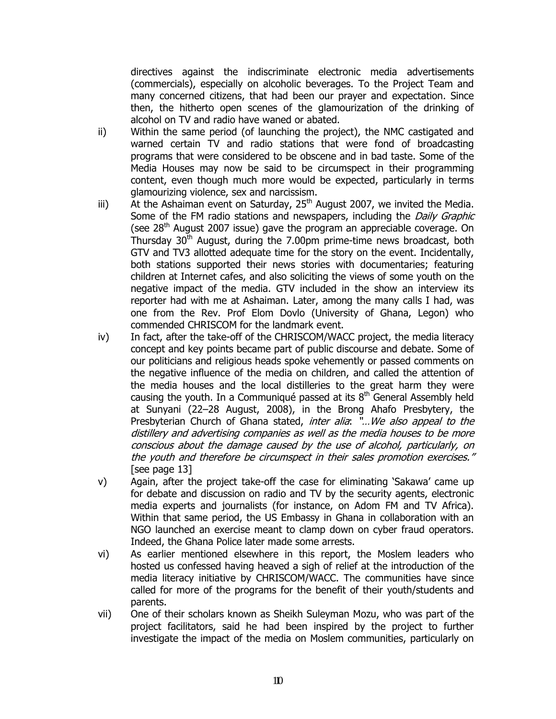directives against the indiscriminate electronic media advertisements (commercials), especially on alcoholic beverages. To the Project Team and many concerned citizens, that had been our prayer and expectation. Since then, the hitherto open scenes of the glamourization of the drinking of alcohol on TV and radio have waned or abated.

- ii) Within the same period (of launching the project), the NMC castigated and warned certain TV and radio stations that were fond of broadcasting programs that were considered to be obscene and in bad taste. Some of the Media Houses may now be said to be circumspect in their programming content, even though much more would be expected, particularly in terms glamourizing violence, sex and narcissism.
- iii) At the Ashaiman event on Saturday,  $25<sup>th</sup>$  August 2007, we invited the Media. Some of the FM radio stations and newspapers, including the *Daily Graphic* (see  $28<sup>th</sup>$  August 2007 issue) gave the program an appreciable coverage. On Thursday  $30<sup>th</sup>$  August, during the 7.00pm prime-time news broadcast, both GTV and TV3 allotted adequate time for the story on the event. Incidentally, both stations supported their news stories with documentaries; featuring children at Internet cafes, and also soliciting the views of some youth on the negative impact of the media. GTV included in the show an interview its reporter had with me at Ashaiman. Later, among the many calls I had, was one from the Rev. Prof Elom Dovlo (University of Ghana, Legon) who commended CHRISCOM for the landmark event.
- iv) In fact, after the take-off of the CHRISCOM/WACC project, the media literacy concept and key points became part of public discourse and debate. Some of our politicians and religious heads spoke vehemently or passed comments on the negative influence of the media on children, and called the attention of the media houses and the local distilleries to the great harm they were causing the youth. In a Communiqué passed at its  $8<sup>th</sup>$  General Assembly held at Sunyani (22–28 August, 2008), in the Brong Ahafo Presbytery, the Presbyterian Church of Ghana stated, inter alia: "... We also appeal to the distillery and advertising companies as well as the media houses to be more conscious about the damage caused by the use of alcohol, particularly, on the youth and therefore be circumspect in their sales promotion exercises." [see page 13]
- v) Again, after the project take-off the case for eliminating 'Sakawa' came up for debate and discussion on radio and TV by the security agents, electronic media experts and journalists (for instance, on Adom FM and TV Africa). Within that same period, the US Embassy in Ghana in collaboration with an NGO launched an exercise meant to clamp down on cyber fraud operators. Indeed, the Ghana Police later made some arrests.
- vi) As earlier mentioned elsewhere in this report, the Moslem leaders who hosted us confessed having heaved a sigh of relief at the introduction of the media literacy initiative by CHRISCOM/WACC. The communities have since called for more of the programs for the benefit of their youth/students and parents.
- vii) One of their scholars known as Sheikh Suleyman Mozu, who was part of the project facilitators, said he had been inspired by the project to further investigate the impact of the media on Moslem communities, particularly on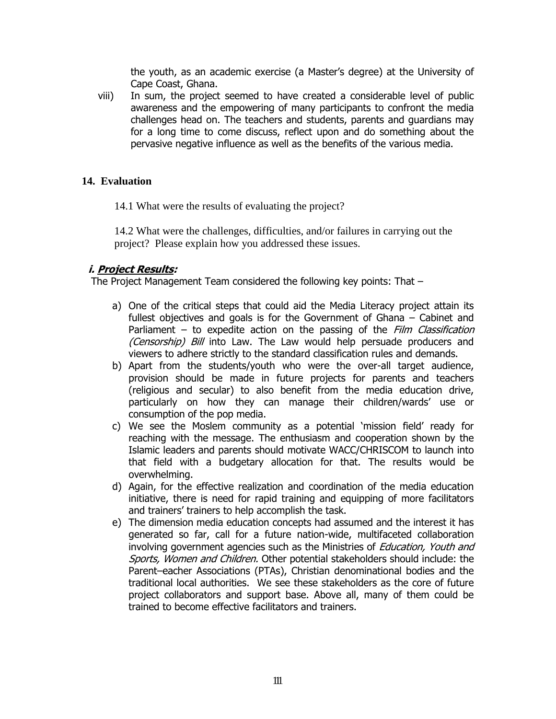the youth, as an academic exercise (a Master's degree) at the University of Cape Coast, Ghana.

viii) In sum, the project seemed to have created a considerable level of public awareness and the empowering of many participants to confront the media challenges head on. The teachers and students, parents and guardians may for a long time to come discuss, reflect upon and do something about the pervasive negative influence as well as the benefits of the various media.

## **14. Evaluation**

14.1 What were the results of evaluating the project?

14.2 What were the challenges, difficulties, and/or failures in carrying out the project? Please explain how you addressed these issues.

## **i. Project Results:**

The Project Management Team considered the following key points: That –

- a) One of the critical steps that could aid the Media Literacy project attain its fullest objectives and goals is for the Government of Ghana – Cabinet and Parliament – to expedite action on the passing of the Film Classification (Censorship) Bill into Law. The Law would help persuade producers and viewers to adhere strictly to the standard classification rules and demands.
- b) Apart from the students/youth who were the over-all target audience, provision should be made in future projects for parents and teachers (religious and secular) to also benefit from the media education drive, particularly on how they can manage their children/wards' use or consumption of the pop media.
- c) We see the Moslem community as a potential 'mission field' ready for reaching with the message. The enthusiasm and cooperation shown by the Islamic leaders and parents should motivate WACC/CHRISCOM to launch into that field with a budgetary allocation for that. The results would be overwhelming.
- d) Again, for the effective realization and coordination of the media education initiative, there is need for rapid training and equipping of more facilitators and trainers' trainers to help accomplish the task.
- e) The dimension media education concepts had assumed and the interest it has generated so far, call for a future nation-wide, multifaceted collaboration involving government agencies such as the Ministries of *Education, Youth and* Sports, Women and Children. Other potential stakeholders should include: the Parent–eacher Associations (PTAs), Christian denominational bodies and the traditional local authorities. We see these stakeholders as the core of future project collaborators and support base. Above all, many of them could be trained to become effective facilitators and trainers.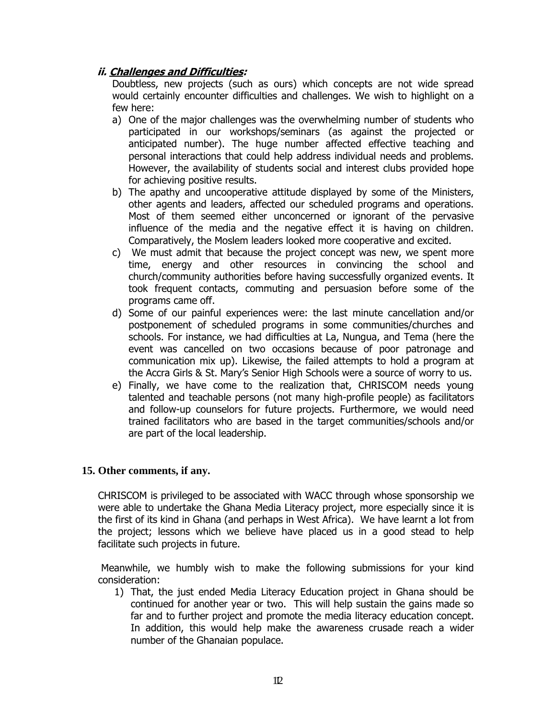## **ii. Challenges and Difficulties:**

Doubtless, new projects (such as ours) which concepts are not wide spread would certainly encounter difficulties and challenges. We wish to highlight on a few here:

- a) One of the major challenges was the overwhelming number of students who participated in our workshops/seminars (as against the projected or anticipated number). The huge number affected effective teaching and personal interactions that could help address individual needs and problems. However, the availability of students social and interest clubs provided hope for achieving positive results.
- b) The apathy and uncooperative attitude displayed by some of the Ministers, other agents and leaders, affected our scheduled programs and operations. Most of them seemed either unconcerned or ignorant of the pervasive influence of the media and the negative effect it is having on children. Comparatively, the Moslem leaders looked more cooperative and excited.
- c) We must admit that because the project concept was new, we spent more time, energy and other resources in convincing the school and church/community authorities before having successfully organized events. It took frequent contacts, commuting and persuasion before some of the programs came off.
- d) Some of our painful experiences were: the last minute cancellation and/or postponement of scheduled programs in some communities/churches and schools. For instance, we had difficulties at La, Nungua, and Tema (here the event was cancelled on two occasions because of poor patronage and communication mix up). Likewise, the failed attempts to hold a program at the Accra Girls & St. Mary's Senior High Schools were a source of worry to us.
- e) Finally, we have come to the realization that, CHRISCOM needs young talented and teachable persons (not many high-profile people) as facilitators and follow-up counselors for future projects. Furthermore, we would need trained facilitators who are based in the target communities/schools and/or are part of the local leadership.

## **15. Other comments, if any.**

CHRISCOM is privileged to be associated with WACC through whose sponsorship we were able to undertake the Ghana Media Literacy project, more especially since it is the first of its kind in Ghana (and perhaps in West Africa). We have learnt a lot from the project; lessons which we believe have placed us in a good stead to help facilitate such projects in future.

Meanwhile, we humbly wish to make the following submissions for your kind consideration:

1) That, the just ended Media Literacy Education project in Ghana should be continued for another year or two. This will help sustain the gains made so far and to further project and promote the media literacy education concept. In addition, this would help make the awareness crusade reach a wider number of the Ghanaian populace.